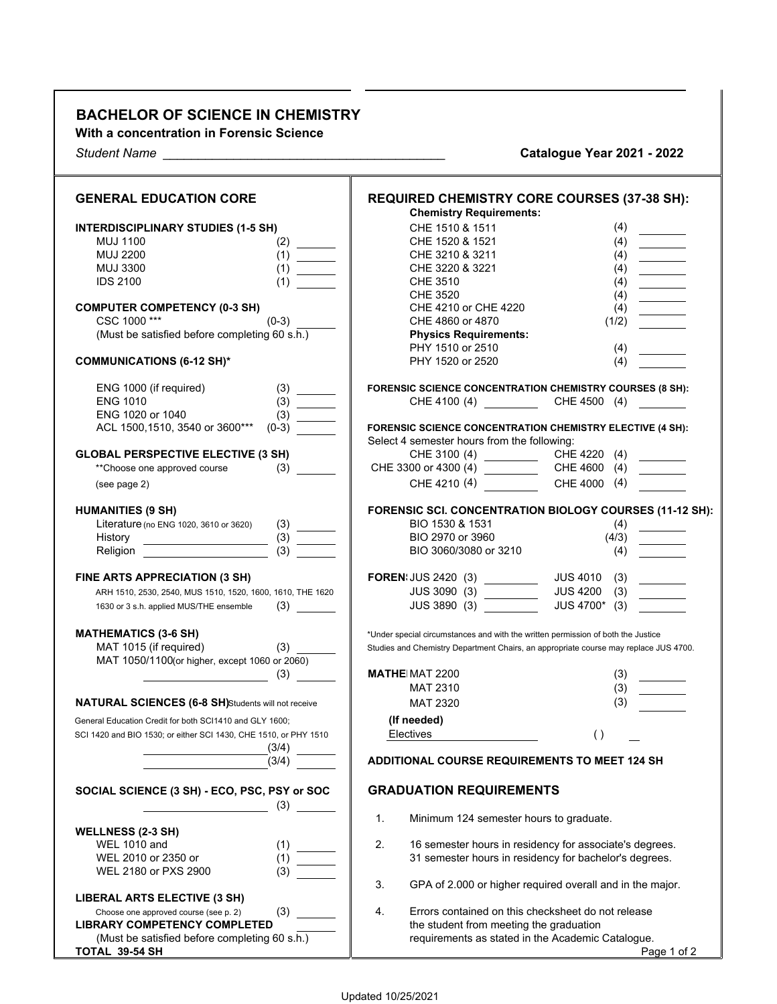## **BACHELOR OF SCIENCE IN CHEMISTRY**

**With a concentration in Forensic Science**

*Student Name \_\_\_\_\_\_\_\_\_\_\_\_\_\_\_\_\_\_\_\_\_\_\_\_\_\_\_\_\_\_\_\_\_\_\_\_\_\_\_\_* **Catalogue Year 2021 - 2022**

| <b>GENERAL EDUCATION CORE</b>                                                                                                                                                                                                                          | <b>REQUIRED CHEMISTRY CORE COURSES (37-38 SH):</b><br><b>Chemistry Requirements:</b> |
|--------------------------------------------------------------------------------------------------------------------------------------------------------------------------------------------------------------------------------------------------------|--------------------------------------------------------------------------------------|
| <b>INTERDISCIPLINARY STUDIES (1-5 SH)</b>                                                                                                                                                                                                              | (4)<br>CHE 1510 & 1511                                                               |
| <b>MUJ 1100</b><br>(2)                                                                                                                                                                                                                                 | CHE 1520 & 1521<br>(4)<br><u>_____________</u>                                       |
| <b>MUJ 2200</b><br>(1)                                                                                                                                                                                                                                 | CHE 3210 & 3211<br>(4)                                                               |
| <b>MUJ 3300</b><br>(1)                                                                                                                                                                                                                                 | CHE 3220 & 3221<br>(4)<br>$\overline{\phantom{a}}$                                   |
| <b>IDS 2100</b><br>(1)                                                                                                                                                                                                                                 | <b>CHE 3510</b><br>(4)                                                               |
|                                                                                                                                                                                                                                                        | <b>CHE 3520</b><br>(4)<br>$\overline{\phantom{a}}$                                   |
| <b>COMPUTER COMPETENCY (0-3 SH)</b>                                                                                                                                                                                                                    | CHE 4210 or CHE 4220<br>(4)                                                          |
| CSC 1000***<br>$(0-3)$                                                                                                                                                                                                                                 | CHE 4860 or 4870<br>(1/2)                                                            |
| (Must be satisfied before completing 60 s.h.)                                                                                                                                                                                                          | <b>Physics Requirements:</b>                                                         |
|                                                                                                                                                                                                                                                        | PHY 1510 or 2510<br>(4)                                                              |
| <b>COMMUNICATIONS (6-12 SH)*</b>                                                                                                                                                                                                                       | PHY 1520 or 2520<br>(4)                                                              |
| ENG 1000 (if required)                                                                                                                                                                                                                                 | FORENSIC SCIENCE CONCENTRATION CHEMISTRY COURSES (8 SH):                             |
| <b>ENG 1010</b>                                                                                                                                                                                                                                        |                                                                                      |
| ENG 1020 or 1040<br>(3)                                                                                                                                                                                                                                |                                                                                      |
| ACL 1500,1510, 3540 or 3600***<br>$(0-3)$                                                                                                                                                                                                              | FORENSIC SCIENCE CONCENTRATION CHEMISTRY ELECTIVE (4 SH):                            |
|                                                                                                                                                                                                                                                        | Select 4 semester hours from the following:                                          |
| <b>GLOBAL PERSPECTIVE ELECTIVE (3 SH)</b>                                                                                                                                                                                                              | CHE 3100 (4) CHE 4220<br>(4)                                                         |
| **Choose one approved course<br>(3)                                                                                                                                                                                                                    | $\overline{\phantom{a}}$                                                             |
| (see page 2)                                                                                                                                                                                                                                           | CHE 4000 (4)                                                                         |
| <b>HUMANITIES (9 SH)</b>                                                                                                                                                                                                                               | FORENSIC SCI. CONCENTRATION BIOLOGY COURSES (11-12 SH):                              |
| Literature (no ENG 1020, 3610 or 3620)                                                                                                                                                                                                                 | BIO 1530 & 1531<br>(4)                                                               |
| (3)<br>History<br><u> Listen van die Stadt van die Stadt van die Stadt van die Stadt van die Stadt van die Stadt van die Stadt van die Stadt van die Stadt van die Stadt van die Stadt van die Stadt van die Stadt van die Stadt van die Stadt van</u> | BIO 2970 or 3960<br>(4/3)                                                            |
| (3)<br>Religion                                                                                                                                                                                                                                        | BIO 3060/3080 or 3210<br>(4)                                                         |
| FINE ARTS APPRECIATION (3 SH)                                                                                                                                                                                                                          | <b>FOREN:</b> JUS 2420 (3) ________<br><b>JUS 4010</b><br>(3)                        |
| ARH 1510, 2530, 2540, MUS 1510, 1520, 1600, 1610, THE 1620                                                                                                                                                                                             | <b>JUS 4200</b><br>(3)<br>JUS 3090 (3) __________<br>$\overline{\phantom{a}}$        |
| (3)<br>1630 or 3 s.h. applied MUS/THE ensemble                                                                                                                                                                                                         | JUS 4700* (3)<br>JUS 3890 (3)                                                        |
| <b>MATHEMATICS (3-6 SH)</b>                                                                                                                                                                                                                            | *Under special circumstances and with the written permission of both the Justice     |
| MAT 1015 (if required)<br>(3)<br>MAT 1050/1100(or higher, except 1060 or 2060)                                                                                                                                                                         | Studies and Chemistry Department Chairs, an appropriate course may replace JUS 4700. |
| (3)                                                                                                                                                                                                                                                    | <b>MATHE MAT 2200</b><br>(3)                                                         |
|                                                                                                                                                                                                                                                        | (3)<br><b>MAT 2310</b>                                                               |
| NATURAL SCIENCES (6-8 SH)Students will not receive                                                                                                                                                                                                     | (3)<br><b>MAT 2320</b>                                                               |
|                                                                                                                                                                                                                                                        |                                                                                      |
| General Education Credit for both SCI1410 and GLY 1600;                                                                                                                                                                                                | (If needed)                                                                          |
| SCI 1420 and BIO 1530; or either SCI 1430, CHE 1510, or PHY 1510<br>(3/4)                                                                                                                                                                              | Electives<br>( )                                                                     |
| (3/4)                                                                                                                                                                                                                                                  | ADDITIONAL COURSE REQUIREMENTS TO MEET 124 SH                                        |
| SOCIAL SCIENCE (3 SH) - ECO, PSC, PSY or SOC                                                                                                                                                                                                           | <b>GRADUATION REQUIREMENTS</b>                                                       |
| (3)                                                                                                                                                                                                                                                    | 1.<br>Minimum 124 semester hours to graduate.                                        |
| <b>WELLNESS (2-3 SH)</b>                                                                                                                                                                                                                               |                                                                                      |
| <b>WEL 1010 and</b><br>(1)                                                                                                                                                                                                                             | 2.<br>16 semester hours in residency for associate's degrees.                        |
| WEL 2010 or 2350 or<br>(1)                                                                                                                                                                                                                             | 31 semester hours in residency for bachelor's degrees.                               |
| (3)<br>WEL 2180 or PXS 2900                                                                                                                                                                                                                            | 3.<br>GPA of 2.000 or higher required overall and in the major.                      |
| LIBERAL ARTS ELECTIVE (3 SH)                                                                                                                                                                                                                           |                                                                                      |
| (3)<br>Choose one approved course (see p. 2)                                                                                                                                                                                                           | 4.<br>Errors contained on this checksheet do not release                             |
| <b>LIBRARY COMPETENCY COMPLETED</b>                                                                                                                                                                                                                    | the student from meeting the graduation                                              |
| (Must be satisfied before completing 60 s.h.)                                                                                                                                                                                                          | requirements as stated in the Academic Catalogue.                                    |
| TOTAL 39-54 SH                                                                                                                                                                                                                                         | Page 1 of 2                                                                          |

— —